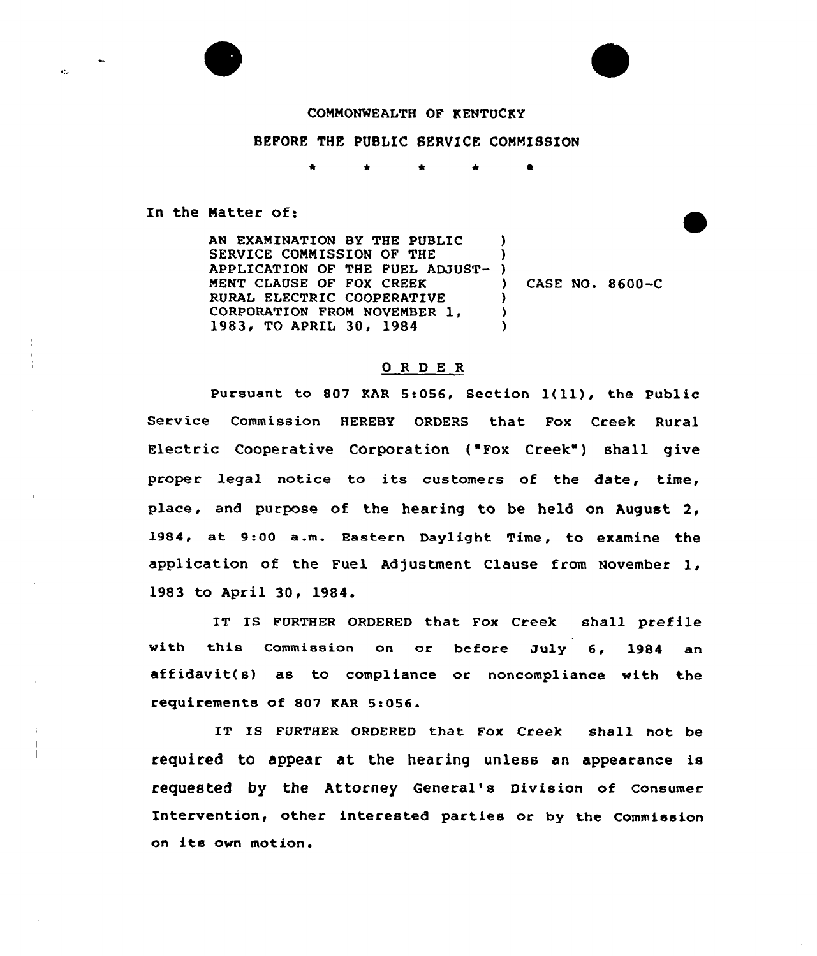ktu.

## COMMONWEALTH OF KENTUCKY

# BEFORE THE PUBLIC SERVICE COMMISSION

\* 0

In the Matter of:

AN EKANINATION BY THE PUBLIC SERVICE COMMISSION OF THE APPLICATION OF THE FUEL ADJUST-) NENT CLAUSE OF FOX CREEK RURAL ELECTRIC COOPERATIVE CORPORATION FROM NOVEMBER 1, 1983, TO APRIL 30, 1984 ) ) ) CASE NO. 8600-C  $\lambda$ )  $\lambda$ 

### ORDER

Pursuant to 807 KAR 5:056, Section  $1(11)$ , the Public Service Commission HEREBY ORDERS that Fox Creek Rural Electric Cooperative Corporation ("Fox Creek") shall give proper legal notice to its customers of the date, time, place, and purpose of the hearing to be held on August 2, 1984, at 9:00 a.m. Eastern Daylight Time, to examine the application of the Fuel Adjustment Clause from November 1, 1983 to April 30, 1984.

IT IS FURTHER ORDERED that Fox Creek shall prefile with this Commission on or before July 6, 1984 an affidavit(s) as to compliance or noncompliance with the requirements of 807 KAR 5:056.

IT IS FURTHER ORDERED that Fox Creek shall not be required to appear at the hearing unless an appearance is requested by the Attorney General's Division of Consumer Intervention, other interested parties or by the Commission on its own motion.